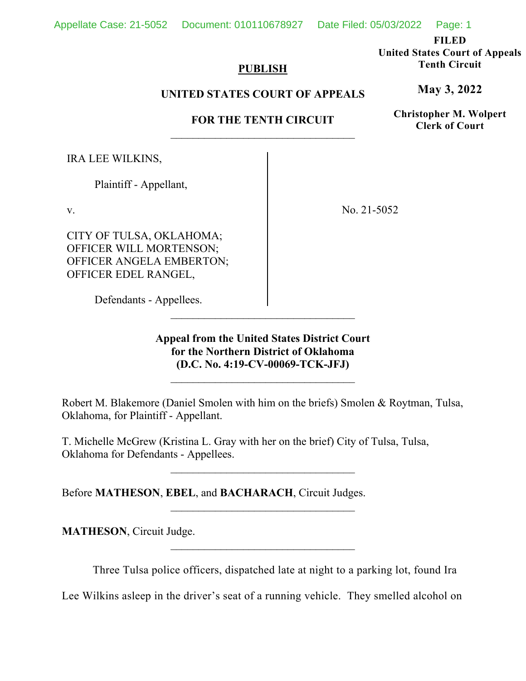Appellate Case: 21-5052 Document: 010110678927 Date Filed: 05/03/2022 Page: 1

**FILED** 

**United States Court of Appeals Tenth Circuit** 

**May 3, 2022**

**Christopher M. Wolpert Clerk of Court**

# **PUBLISH**

# **UNITED STATES COURT OF APPEALS**

# **FOR THE TENTH CIRCUIT**

IRA LEE WILKINS,

Plaintiff - Appellant,

v.

CITY OF TULSA, OKLAHOMA; OFFICER WILL MORTENSON; OFFICER ANGELA EMBERTON; OFFICER EDEL RANGEL,

No. 21-5052

Defendants - Appellees.

**Appeal from the United States District Court for the Northern District of Oklahoma (D.C. No. 4:19-CV-00069-TCK-JFJ)**

 $\mathcal{L}_\text{max}$ 

Robert M. Blakemore (Daniel Smolen with him on the briefs) Smolen & Roytman, Tulsa, Oklahoma, for Plaintiff - Appellant.

T. Michelle McGrew (Kristina L. Gray with her on the brief) City of Tulsa, Tulsa, Oklahoma for Defendants - Appellees.

Before **MATHESON**, **EBEL**, and **BACHARACH**, Circuit Judges.

**MATHESON**, Circuit Judge.

Three Tulsa police officers, dispatched late at night to a parking lot, found Ira

Lee Wilkins asleep in the driver's seat of a running vehicle. They smelled alcohol on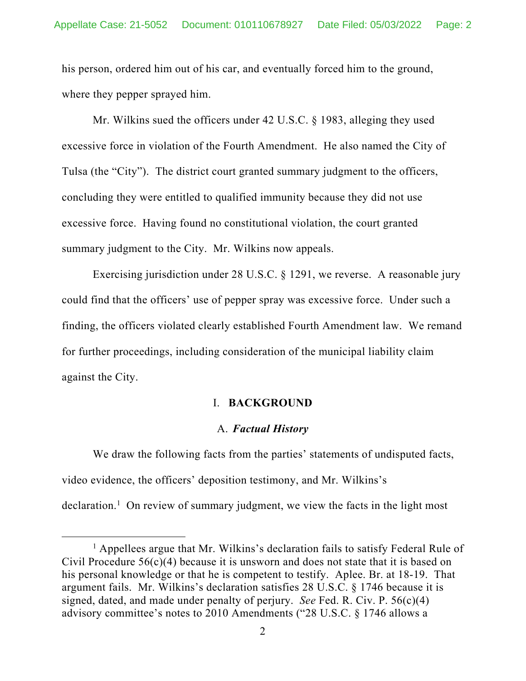his person, ordered him out of his car, and eventually forced him to the ground, where they pepper sprayed him.

Mr. Wilkins sued the officers under 42 U.S.C. § 1983, alleging they used excessive force in violation of the Fourth Amendment. He also named the City of Tulsa (the "City"). The district court granted summary judgment to the officers, concluding they were entitled to qualified immunity because they did not use excessive force. Having found no constitutional violation, the court granted summary judgment to the City. Mr. Wilkins now appeals.

Exercising jurisdiction under 28 U.S.C. § 1291, we reverse. A reasonable jury could find that the officers' use of pepper spray was excessive force. Under such a finding, the officers violated clearly established Fourth Amendment law. We remand for further proceedings, including consideration of the municipal liability claim against the City.

### I. **BACKGROUND**

#### A. *Factual History*

We draw the following facts from the parties' statements of undisputed facts, video evidence, the officers' deposition testimony, and Mr. Wilkins's declaration.<sup>1</sup> On review of summary judgment, we view the facts in the light most

<sup>&</sup>lt;sup>1</sup> Appellees argue that Mr. Wilkins's declaration fails to satisfy Federal Rule of Civil Procedure  $56(c)(4)$  because it is unsworn and does not state that it is based on his personal knowledge or that he is competent to testify. Aplee. Br. at 18-19. That argument fails. Mr. Wilkins's declaration satisfies 28 U.S.C. § 1746 because it is signed, dated, and made under penalty of perjury. *See* Fed. R. Civ. P. 56(c)(4) advisory committee's notes to 2010 Amendments ("28 U.S.C. § 1746 allows a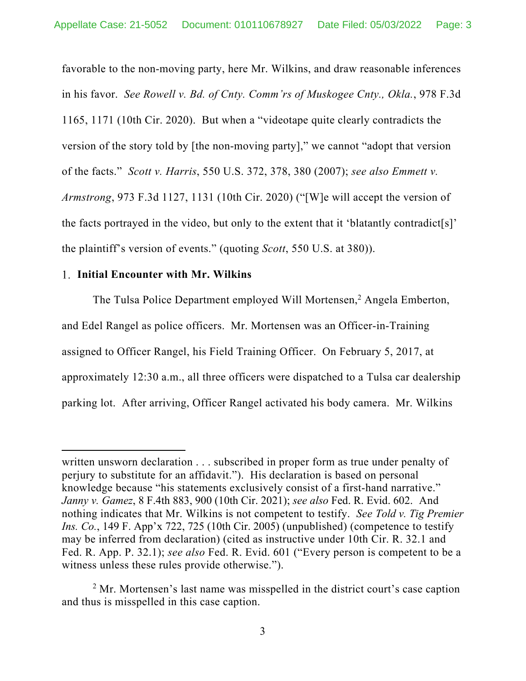favorable to the non-moving party, here Mr. Wilkins, and draw reasonable inferences in his favor. *See Rowell v. Bd. of Cnty. Comm'rs of Muskogee Cnty., Okla.*, 978 F.3d 1165, 1171 (10th Cir. 2020). But when a "videotape quite clearly contradicts the version of the story told by [the non-moving party]," we cannot "adopt that version of the facts." *Scott v. Harris*, 550 U.S. 372, 378, 380 (2007); *see also Emmett v. Armstrong*, 973 F.3d 1127, 1131 (10th Cir. 2020) ("[W]e will accept the version of the facts portrayed in the video, but only to the extent that it 'blatantly contradict[s]' the plaintiff's version of events." (quoting *Scott*, 550 U.S. at 380)).

## **Initial Encounter with Mr. Wilkins**

The Tulsa Police Department employed Will Mortensen,<sup>2</sup> Angela Emberton, and Edel Rangel as police officers. Mr. Mortensen was an Officer-in-Training assigned to Officer Rangel, his Field Training Officer. On February 5, 2017, at approximately 12:30 a.m., all three officers were dispatched to a Tulsa car dealership parking lot. After arriving, Officer Rangel activated his body camera. Mr. Wilkins

written unsworn declaration . . . subscribed in proper form as true under penalty of perjury to substitute for an affidavit."). His declaration is based on personal knowledge because "his statements exclusively consist of a first-hand narrative." *Janny v. Gamez*, 8 F.4th 883, 900 (10th Cir. 2021); *see also* Fed. R. Evid. 602. And nothing indicates that Mr. Wilkins is not competent to testify. *See Told v. Tig Premier Ins. Co.*, 149 F. App'x 722, 725 (10th Cir. 2005) (unpublished) (competence to testify may be inferred from declaration) (cited as instructive under 10th Cir. R. 32.1 and Fed. R. App. P. 32.1); *see also* Fed. R. Evid. 601 ("Every person is competent to be a witness unless these rules provide otherwise.").

<sup>&</sup>lt;sup>2</sup> Mr. Mortensen's last name was misspelled in the district court's case caption and thus is misspelled in this case caption.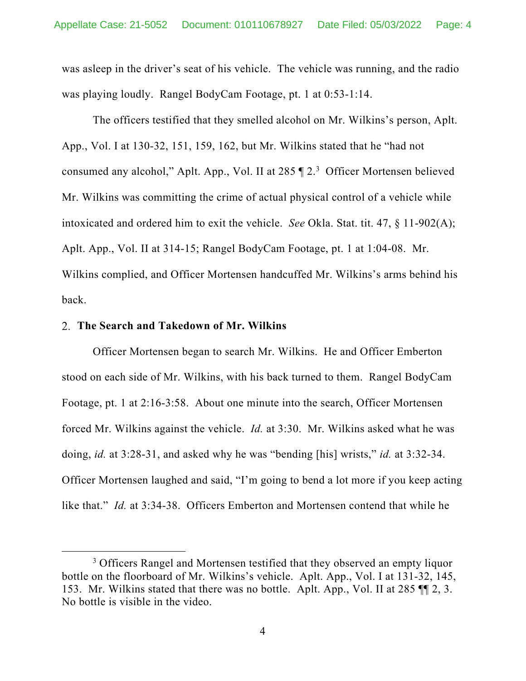was asleep in the driver's seat of his vehicle. The vehicle was running, and the radio was playing loudly. Rangel BodyCam Footage, pt. 1 at 0:53-1:14.

The officers testified that they smelled alcohol on Mr. Wilkins's person, Aplt. App., Vol. I at 130-32, 151, 159, 162, but Mr. Wilkins stated that he "had not consumed any alcohol," Aplt. App., Vol. II at 285 ¶ 2.3 Officer Mortensen believed Mr. Wilkins was committing the crime of actual physical control of a vehicle while intoxicated and ordered him to exit the vehicle. *See* Okla. Stat. tit. 47, § 11-902(A); Aplt. App., Vol. II at 314-15; Rangel BodyCam Footage, pt. 1 at 1:04-08. Mr. Wilkins complied, and Officer Mortensen handcuffed Mr. Wilkins's arms behind his back.

### **The Search and Takedown of Mr. Wilkins**

Officer Mortensen began to search Mr. Wilkins. He and Officer Emberton stood on each side of Mr. Wilkins, with his back turned to them. Rangel BodyCam Footage, pt. 1 at 2:16-3:58. About one minute into the search, Officer Mortensen forced Mr. Wilkins against the vehicle. *Id.* at 3:30. Mr. Wilkins asked what he was doing, *id.* at 3:28-31, and asked why he was "bending [his] wrists," *id.* at 3:32-34. Officer Mortensen laughed and said, "I'm going to bend a lot more if you keep acting like that." *Id.* at 3:34-38. Officers Emberton and Mortensen contend that while he

<sup>&</sup>lt;sup>3</sup> Officers Rangel and Mortensen testified that they observed an empty liquor bottle on the floorboard of Mr. Wilkins's vehicle. Aplt. App., Vol. I at 131-32, 145, 153. Mr. Wilkins stated that there was no bottle. Aplt. App., Vol. II at 285 ¶¶ 2, 3. No bottle is visible in the video.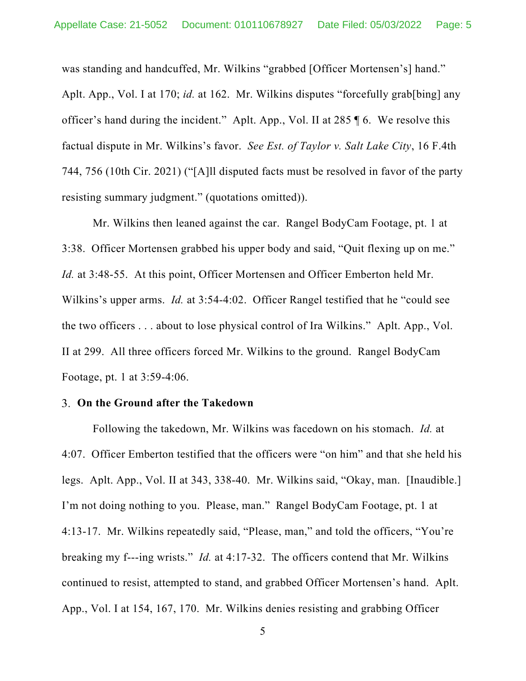was standing and handcuffed, Mr. Wilkins "grabbed [Officer Mortensen's] hand." Aplt. App., Vol. I at 170; *id.* at 162. Mr. Wilkins disputes "forcefully grab[bing] any officer's hand during the incident." Aplt. App., Vol. II at 285 ¶ 6. We resolve this factual dispute in Mr. Wilkins's favor. *See Est. of Taylor v. Salt Lake City*, 16 F.4th 744, 756 (10th Cir. 2021) ("[A]ll disputed facts must be resolved in favor of the party resisting summary judgment." (quotations omitted)).

Mr. Wilkins then leaned against the car. Rangel BodyCam Footage, pt. 1 at 3:38. Officer Mortensen grabbed his upper body and said, "Quit flexing up on me." *Id.* at 3:48-55. At this point, Officer Mortensen and Officer Emberton held Mr. Wilkins's upper arms. *Id.* at 3:54-4:02. Officer Rangel testified that he "could see the two officers . . . about to lose physical control of Ira Wilkins." Aplt. App., Vol. II at 299. All three officers forced Mr. Wilkins to the ground. Rangel BodyCam Footage, pt. 1 at 3:59-4:06.

### **On the Ground after the Takedown**

Following the takedown, Mr. Wilkins was facedown on his stomach. *Id.* at 4:07. Officer Emberton testified that the officers were "on him" and that she held his legs. Aplt. App., Vol. II at 343, 338-40. Mr. Wilkins said, "Okay, man. [Inaudible.] I'm not doing nothing to you. Please, man." Rangel BodyCam Footage, pt. 1 at 4:13-17. Mr. Wilkins repeatedly said, "Please, man," and told the officers, "You're breaking my f---ing wrists." *Id.* at 4:17-32. The officers contend that Mr. Wilkins continued to resist, attempted to stand, and grabbed Officer Mortensen's hand. Aplt. App., Vol. I at 154, 167, 170. Mr. Wilkins denies resisting and grabbing Officer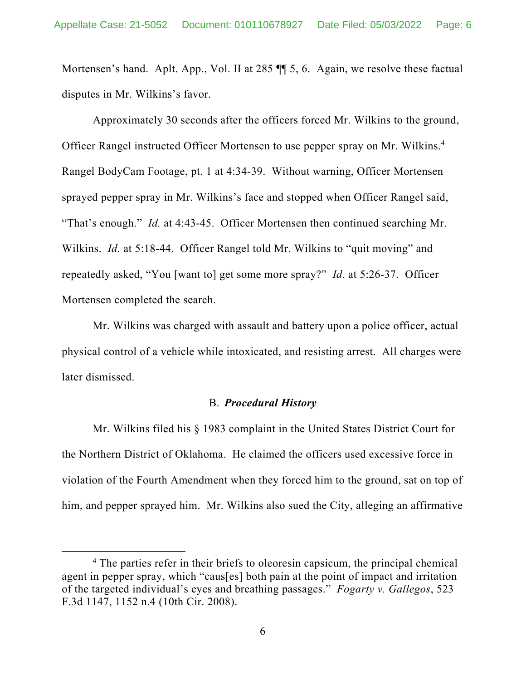Mortensen's hand. Aplt. App., Vol. II at 285  $\P$  5, 6. Again, we resolve these factual disputes in Mr. Wilkins's favor.

Approximately 30 seconds after the officers forced Mr. Wilkins to the ground, Officer Rangel instructed Officer Mortensen to use pepper spray on Mr. Wilkins.<sup>4</sup> Rangel BodyCam Footage, pt. 1 at 4:34-39. Without warning, Officer Mortensen sprayed pepper spray in Mr. Wilkins's face and stopped when Officer Rangel said, "That's enough." *Id.* at 4:43-45. Officer Mortensen then continued searching Mr. Wilkins. *Id.* at 5:18-44. Officer Rangel told Mr. Wilkins to "quit moving" and repeatedly asked, "You [want to] get some more spray?" *Id.* at 5:26-37. Officer Mortensen completed the search.

Mr. Wilkins was charged with assault and battery upon a police officer, actual physical control of a vehicle while intoxicated, and resisting arrest. All charges were later dismissed.

# B. *Procedural History*

Mr. Wilkins filed his § 1983 complaint in the United States District Court for the Northern District of Oklahoma. He claimed the officers used excessive force in violation of the Fourth Amendment when they forced him to the ground, sat on top of him, and pepper sprayed him. Mr. Wilkins also sued the City, alleging an affirmative

<sup>&</sup>lt;sup>4</sup> The parties refer in their briefs to oleoresin capsicum, the principal chemical agent in pepper spray, which "caus[es] both pain at the point of impact and irritation of the targeted individual's eyes and breathing passages." *Fogarty v. Gallegos*, 523 F.3d 1147, 1152 n.4 (10th Cir. 2008).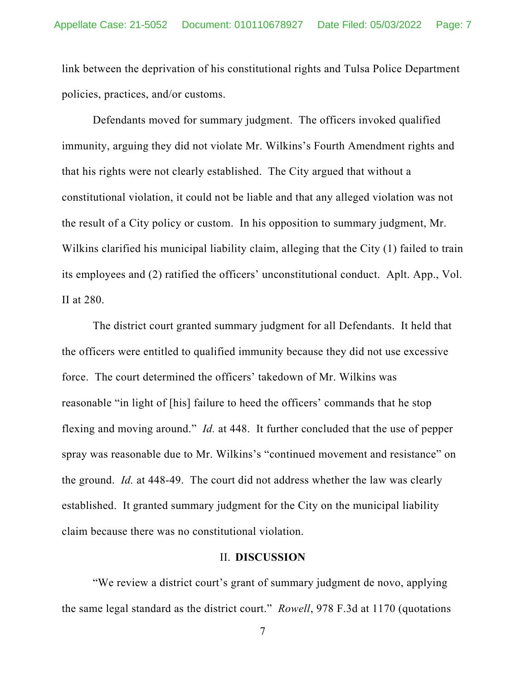link between the deprivation of his constitutional rights and Tulsa Police Department policies, practices, and/or customs.

Defendants moved for summary judgment. The officers invoked qualified immunity, arguing they did not violate Mr. Wilkins's Fourth Amendment rights and that his rights were not clearly established. The City argued that without a constitutional violation, it could not be liable and that any alleged violation was not the result of a City policy or custom. In his opposition to summary judgment, Mr. Wilkins clarified his municipal liability claim, alleging that the City (1) failed to train its employees and (2) ratified the officers' unconstitutional conduct. Aplt. App., Vol. II at 280.

The district court granted summary judgment for all Defendants. It held that the officers were entitled to qualified immunity because they did not use excessive force. The court determined the officers' takedown of Mr. Wilkins was reasonable "in light of [his] failure to heed the officers' commands that he stop flexing and moving around." *Id.* at 448. It further concluded that the use of pepper spray was reasonable due to Mr. Wilkins's "continued movement and resistance" on the ground. *Id.* at 448-49. The court did not address whether the law was clearly established. It granted summary judgment for the City on the municipal liability claim because there was no constitutional violation.

### II. **DISCUSSION**

"We review a district court's grant of summary judgment de novo, applying the same legal standard as the district court." *Rowell*, 978 F.3d at 1170 (quotations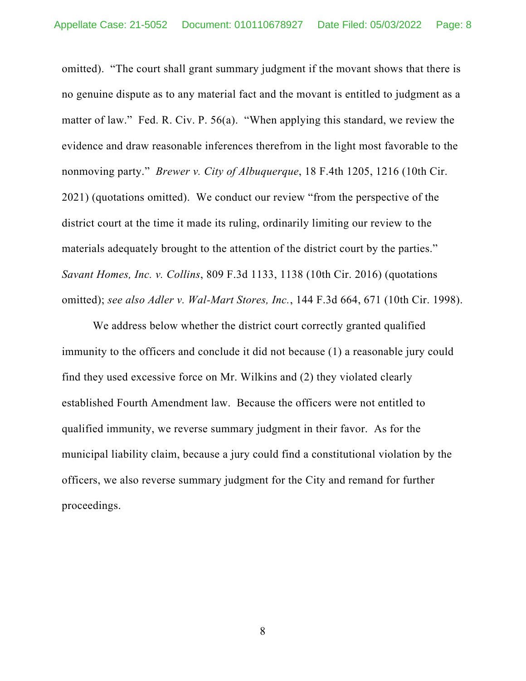omitted). "The court shall grant summary judgment if the movant shows that there is no genuine dispute as to any material fact and the movant is entitled to judgment as a matter of law." Fed. R. Civ. P. 56(a). "When applying this standard, we review the evidence and draw reasonable inferences therefrom in the light most favorable to the nonmoving party." *Brewer v. City of Albuquerque*, 18 F.4th 1205, 1216 (10th Cir. 2021) (quotations omitted). We conduct our review "from the perspective of the district court at the time it made its ruling, ordinarily limiting our review to the materials adequately brought to the attention of the district court by the parties." *Savant Homes, Inc. v. Collins*, 809 F.3d 1133, 1138 (10th Cir. 2016) (quotations omitted); *see also Adler v. Wal-Mart Stores, Inc.*, 144 F.3d 664, 671 (10th Cir. 1998).

We address below whether the district court correctly granted qualified immunity to the officers and conclude it did not because (1) a reasonable jury could find they used excessive force on Mr. Wilkins and (2) they violated clearly established Fourth Amendment law. Because the officers were not entitled to qualified immunity, we reverse summary judgment in their favor. As for the municipal liability claim, because a jury could find a constitutional violation by the officers, we also reverse summary judgment for the City and remand for further proceedings.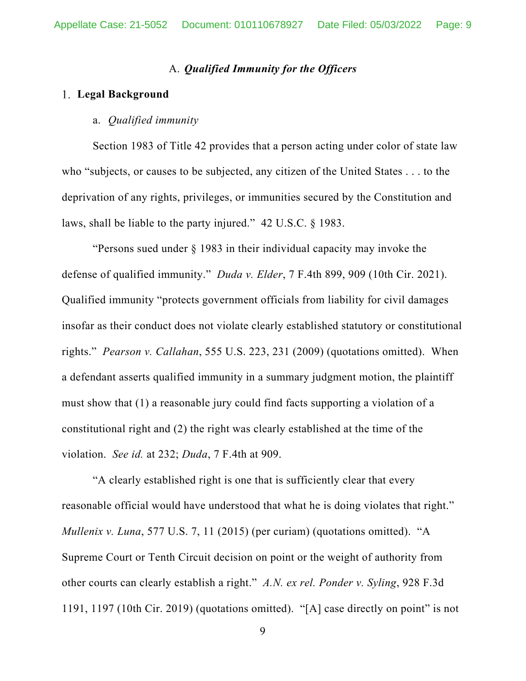# A. *Qualified Immunity for the Officers*

### **Legal Background**

# a. *Qualified immunity*

Section 1983 of Title 42 provides that a person acting under color of state law who "subjects, or causes to be subjected, any citizen of the United States . . . to the deprivation of any rights, privileges, or immunities secured by the Constitution and laws, shall be liable to the party injured." 42 U.S.C. § 1983.

"Persons sued under § 1983 in their individual capacity may invoke the defense of qualified immunity." *Duda v. Elder*, 7 F.4th 899, 909 (10th Cir. 2021). Qualified immunity "protects government officials from liability for civil damages insofar as their conduct does not violate clearly established statutory or constitutional rights." *Pearson v. Callahan*, 555 U.S. 223, 231 (2009) (quotations omitted). When a defendant asserts qualified immunity in a summary judgment motion, the plaintiff must show that (1) a reasonable jury could find facts supporting a violation of a constitutional right and (2) the right was clearly established at the time of the violation. *See id.* at 232; *Duda*, 7 F.4th at 909.

"A clearly established right is one that is sufficiently clear that every reasonable official would have understood that what he is doing violates that right." *Mullenix v. Luna*, 577 U.S. 7, 11 (2015) (per curiam) (quotations omitted). "A Supreme Court or Tenth Circuit decision on point or the weight of authority from other courts can clearly establish a right." *A.N. ex rel. Ponder v. Syling*, 928 F.3d 1191, 1197 (10th Cir. 2019) (quotations omitted). "[A] case directly on point" is not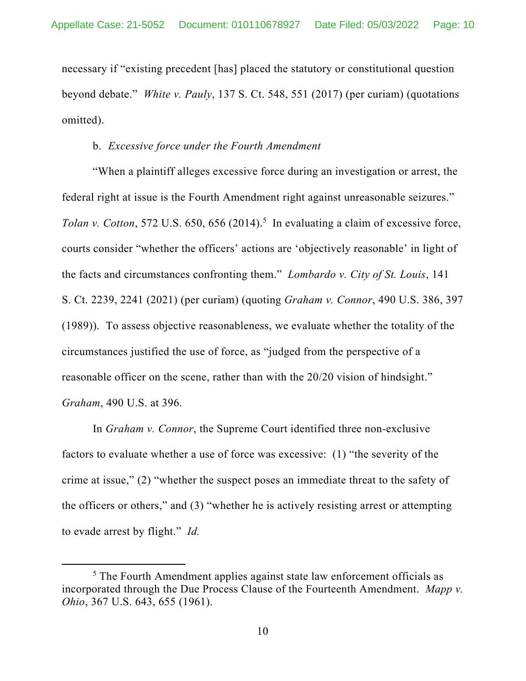necessary if "existing precedent [has] placed the statutory or constitutional question beyond debate." *White v. Pauly*, 137 S. Ct. 548, 551 (2017) (per curiam) (quotations omitted).

### b. *Excessive force under the Fourth Amendment*

"When a plaintiff alleges excessive force during an investigation or arrest, the federal right at issue is the Fourth Amendment right against unreasonable seizures." *Tolan v. Cotton*, 572 U.S. 650, 656 (2014).<sup>5</sup> In evaluating a claim of excessive force, courts consider "whether the officers' actions are 'objectively reasonable' in light of the facts and circumstances confronting them." *Lombardo v. City of St. Louis*, 141 S. Ct. 2239, 2241 (2021) (per curiam) (quoting *Graham v. Connor*, 490 U.S. 386, 397 (1989)). To assess objective reasonableness, we evaluate whether the totality of the circumstances justified the use of force, as "judged from the perspective of a reasonable officer on the scene, rather than with the 20/20 vision of hindsight." *Graham*, 490 U.S. at 396.

In *Graham v. Connor*, the Supreme Court identified three non-exclusive factors to evaluate whether a use of force was excessive: (1) "the severity of the crime at issue," (2) "whether the suspect poses an immediate threat to the safety of the officers or others," and (3) "whether he is actively resisting arrest or attempting to evade arrest by flight." *Id.* 

 $<sup>5</sup>$  The Fourth Amendment applies against state law enforcement officials as</sup> incorporated through the Due Process Clause of the Fourteenth Amendment. *Mapp v. Ohio*, 367 U.S. 643, 655 (1961).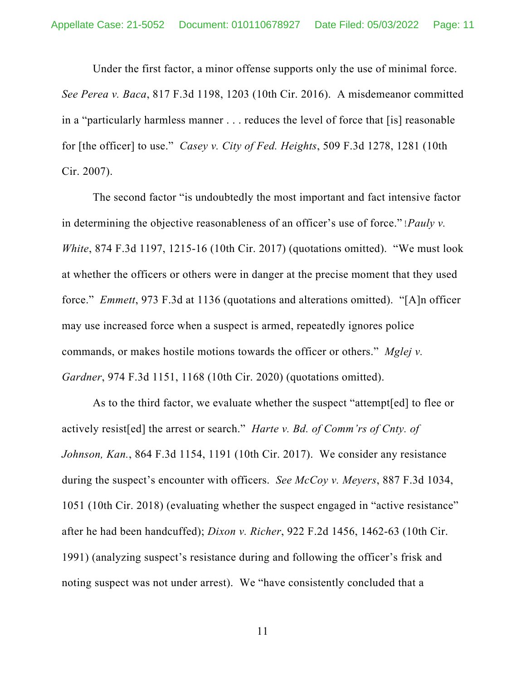Under the first factor, a minor offense supports only the use of minimal force. *See Perea v. Baca*, 817 F.3d 1198, 1203 (10th Cir. 2016). A misdemeanor committed in a "particularly harmless manner . . . reduces the level of force that [is] reasonable for [the officer] to use." *Casey v. City of Fed. Heights*, 509 F.3d 1278, 1281 (10th Cir. 2007).

The second factor "is undoubtedly the most important and fact intensive factor in determining the objective reasonableness of an officer's use of force." *Pauly v. White*, 874 F.3d 1197, 1215-16 (10th Cir. 2017) (quotations omitted). "We must look at whether the officers or others were in danger at the precise moment that they used force." *Emmett*, 973 F.3d at 1136 (quotations and alterations omitted). "[A]n officer may use increased force when a suspect is armed, repeatedly ignores police commands, or makes hostile motions towards the officer or others." *Mglej v. Gardner*, 974 F.3d 1151, 1168 (10th Cir. 2020) (quotations omitted).

As to the third factor, we evaluate whether the suspect "attempt[ed] to flee or actively resist[ed] the arrest or search." *Harte v. Bd. of Comm'rs of Cnty. of Johnson, Kan.*, 864 F.3d 1154, 1191 (10th Cir. 2017). We consider any resistance during the suspect's encounter with officers. *See McCoy v. Meyers*, 887 F.3d 1034, 1051 (10th Cir. 2018) (evaluating whether the suspect engaged in "active resistance" after he had been handcuffed); *Dixon v. Richer*, 922 F.2d 1456, 1462-63 (10th Cir. 1991) (analyzing suspect's resistance during and following the officer's frisk and noting suspect was not under arrest). We "have consistently concluded that a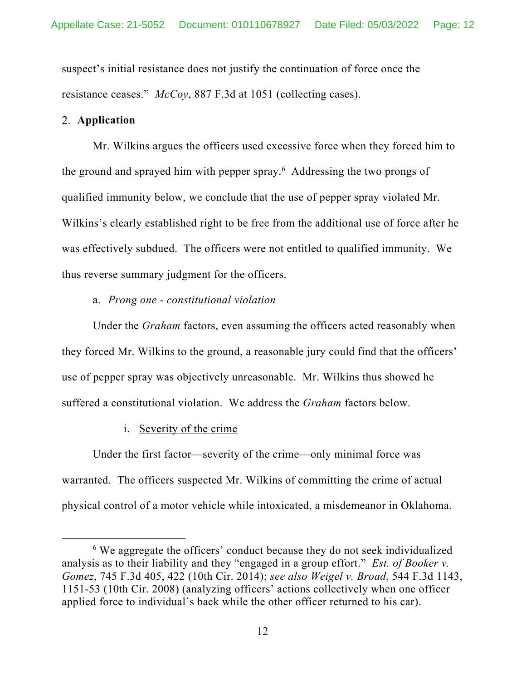suspect's initial resistance does not justify the continuation of force once the resistance ceases." *McCoy*, 887 F.3d at 1051 (collecting cases).

# **Application**

Mr. Wilkins argues the officers used excessive force when they forced him to the ground and sprayed him with pepper spray.<sup>6</sup> Addressing the two prongs of qualified immunity below, we conclude that the use of pepper spray violated Mr. Wilkins's clearly established right to be free from the additional use of force after he was effectively subdued. The officers were not entitled to qualified immunity. We thus reverse summary judgment for the officers.

a. *Prong one - constitutional violation* 

Under the *Graham* factors, even assuming the officers acted reasonably when they forced Mr. Wilkins to the ground, a reasonable jury could find that the officers' use of pepper spray was objectively unreasonable. Mr. Wilkins thus showed he suffered a constitutional violation. We address the *Graham* factors below.

i. Severity of the crime

Under the first factor—severity of the crime—only minimal force was warranted. The officers suspected Mr. Wilkins of committing the crime of actual physical control of a motor vehicle while intoxicated, a misdemeanor in Oklahoma.

<sup>&</sup>lt;sup>6</sup> We aggregate the officers' conduct because they do not seek individualized analysis as to their liability and they "engaged in a group effort." *Est. of Booker v. Gomez*, 745 F.3d 405, 422 (10th Cir. 2014); *see also Weigel v. Broad*, 544 F.3d 1143, 1151-53 (10th Cir. 2008) (analyzing officers' actions collectively when one officer applied force to individual's back while the other officer returned to his car).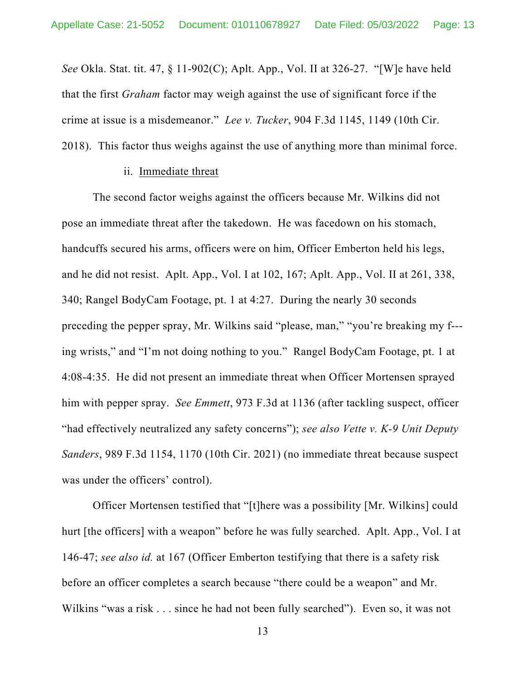*See* Okla. Stat. tit. 47, § 11-902(C); Aplt. App., Vol. II at 326-27. "[W]e have held that the first *Graham* factor may weigh against the use of significant force if the crime at issue is a misdemeanor." *Lee v. Tucker*, 904 F.3d 1145, 1149 (10th Cir. 2018). This factor thus weighs against the use of anything more than minimal force.

### ii. Immediate threat

The second factor weighs against the officers because Mr. Wilkins did not pose an immediate threat after the takedown. He was facedown on his stomach, handcuffs secured his arms, officers were on him, Officer Emberton held his legs, and he did not resist. Aplt. App., Vol. I at 102, 167; Aplt. App., Vol. II at 261, 338, 340; Rangel BodyCam Footage, pt. 1 at 4:27. During the nearly 30 seconds preceding the pepper spray, Mr. Wilkins said "please, man," "you're breaking my f-- ing wrists," and "I'm not doing nothing to you." Rangel BodyCam Footage, pt. 1 at 4:08-4:35. He did not present an immediate threat when Officer Mortensen sprayed him with pepper spray. *See Emmett*, 973 F.3d at 1136 (after tackling suspect, officer "had effectively neutralized any safety concerns"); *see also Vette v. K-9 Unit Deputy Sanders*, 989 F.3d 1154, 1170 (10th Cir. 2021) (no immediate threat because suspect was under the officers' control).

Officer Mortensen testified that "[t]here was a possibility [Mr. Wilkins] could hurt [the officers] with a weapon" before he was fully searched. Aplt. App., Vol. I at 146-47; *see also id.* at 167 (Officer Emberton testifying that there is a safety risk before an officer completes a search because "there could be a weapon" and Mr. Wilkins "was a risk . . . since he had not been fully searched"). Even so, it was not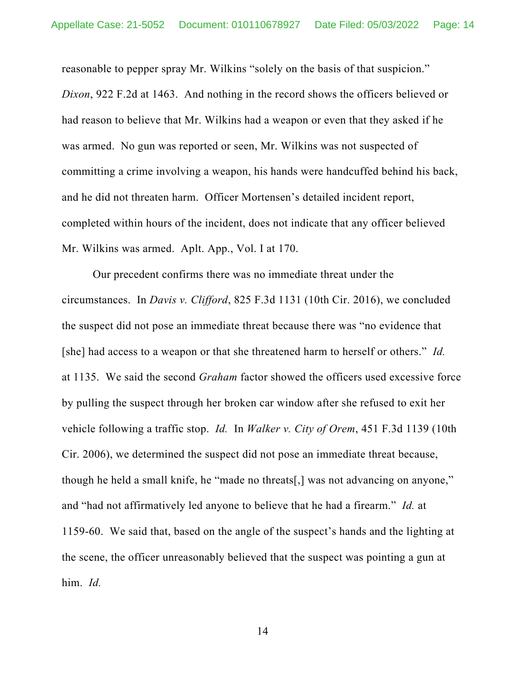reasonable to pepper spray Mr. Wilkins "solely on the basis of that suspicion." *Dixon*, 922 F.2d at 1463. And nothing in the record shows the officers believed or had reason to believe that Mr. Wilkins had a weapon or even that they asked if he was armed. No gun was reported or seen, Mr. Wilkins was not suspected of committing a crime involving a weapon, his hands were handcuffed behind his back, and he did not threaten harm. Officer Mortensen's detailed incident report, completed within hours of the incident, does not indicate that any officer believed Mr. Wilkins was armed. Aplt. App., Vol. I at 170.

Our precedent confirms there was no immediate threat under the circumstances. In *Davis v. Clifford*, 825 F.3d 1131 (10th Cir. 2016), we concluded the suspect did not pose an immediate threat because there was "no evidence that [she] had access to a weapon or that she threatened harm to herself or others." *Id.* at 1135. We said the second *Graham* factor showed the officers used excessive force by pulling the suspect through her broken car window after she refused to exit her vehicle following a traffic stop. *Id.* In *Walker v. City of Orem*, 451 F.3d 1139 (10th Cir. 2006), we determined the suspect did not pose an immediate threat because, though he held a small knife, he "made no threats[,] was not advancing on anyone," and "had not affirmatively led anyone to believe that he had a firearm." *Id.* at 1159-60. We said that, based on the angle of the suspect's hands and the lighting at the scene, the officer unreasonably believed that the suspect was pointing a gun at him. *Id.*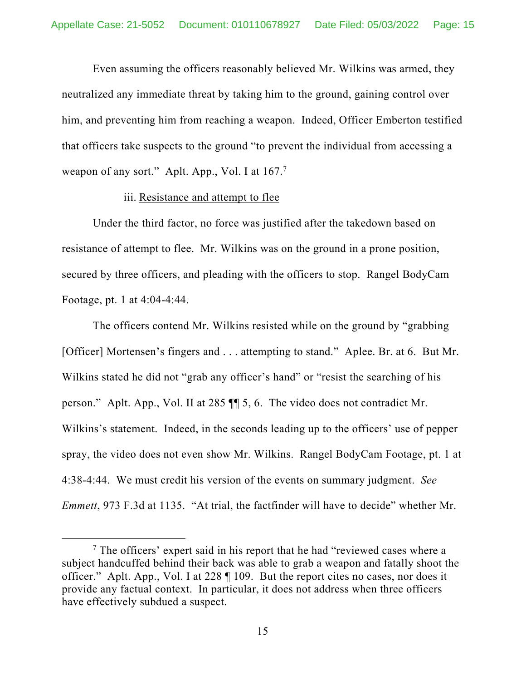Even assuming the officers reasonably believed Mr. Wilkins was armed, they neutralized any immediate threat by taking him to the ground, gaining control over him, and preventing him from reaching a weapon. Indeed, Officer Emberton testified that officers take suspects to the ground "to prevent the individual from accessing a weapon of any sort." Aplt. App., Vol. I at  $167$ .<sup>7</sup>

### iii. Resistance and attempt to flee

Under the third factor, no force was justified after the takedown based on resistance of attempt to flee. Mr. Wilkins was on the ground in a prone position, secured by three officers, and pleading with the officers to stop. Rangel BodyCam Footage, pt. 1 at 4:04-4:44.

The officers contend Mr. Wilkins resisted while on the ground by "grabbing [Officer] Mortensen's fingers and . . . attempting to stand." Aplee. Br. at 6. But Mr. Wilkins stated he did not "grab any officer's hand" or "resist the searching of his person." Aplt. App., Vol. II at 285 ¶¶ 5, 6. The video does not contradict Mr. Wilkins's statement. Indeed, in the seconds leading up to the officers' use of pepper spray, the video does not even show Mr. Wilkins. Rangel BodyCam Footage, pt. 1 at 4:38-4:44. We must credit his version of the events on summary judgment. *See Emmett*, 973 F.3d at 1135. "At trial, the factfinder will have to decide" whether Mr.

<sup>&</sup>lt;sup>7</sup> The officers' expert said in his report that he had "reviewed cases where a subject handcuffed behind their back was able to grab a weapon and fatally shoot the officer." Aplt. App., Vol. I at 228 ¶ 109. But the report cites no cases, nor does it provide any factual context. In particular, it does not address when three officers have effectively subdued a suspect.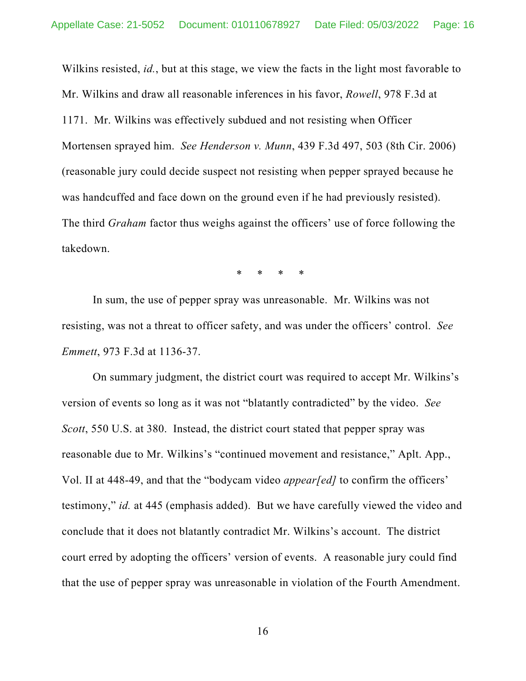Wilkins resisted, *id.*, but at this stage, we view the facts in the light most favorable to Mr. Wilkins and draw all reasonable inferences in his favor, *Rowell*, 978 F.3d at 1171. Mr. Wilkins was effectively subdued and not resisting when Officer Mortensen sprayed him. *See Henderson v. Munn*, 439 F.3d 497, 503 (8th Cir. 2006) (reasonable jury could decide suspect not resisting when pepper sprayed because he was handcuffed and face down on the ground even if he had previously resisted). The third *Graham* factor thus weighs against the officers' use of force following the takedown.

\* \* \* \*

In sum, the use of pepper spray was unreasonable. Mr. Wilkins was not resisting, was not a threat to officer safety, and was under the officers' control. *See Emmett*, 973 F.3d at 1136-37.

On summary judgment, the district court was required to accept Mr. Wilkins's version of events so long as it was not "blatantly contradicted" by the video. *See Scott*, 550 U.S. at 380. Instead, the district court stated that pepper spray was reasonable due to Mr. Wilkins's "continued movement and resistance," Aplt. App., Vol. II at 448-49, and that the "bodycam video *appear[ed]* to confirm the officers' testimony," *id.* at 445 (emphasis added). But we have carefully viewed the video and conclude that it does not blatantly contradict Mr. Wilkins's account. The district court erred by adopting the officers' version of events. A reasonable jury could find that the use of pepper spray was unreasonable in violation of the Fourth Amendment.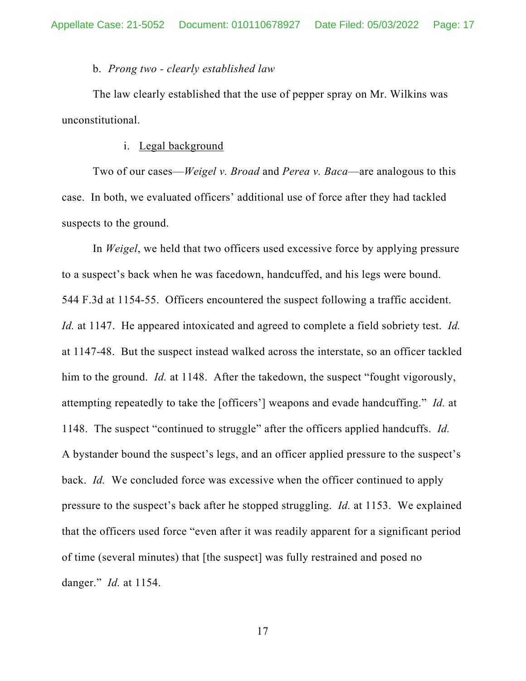#### b. *Prong two - clearly established law*

The law clearly established that the use of pepper spray on Mr. Wilkins was unconstitutional.

#### i. Legal background

Two of our cases—*Weigel v. Broad* and *Perea v. Baca*—are analogous to this case. In both, we evaluated officers' additional use of force after they had tackled suspects to the ground.

In *Weigel*, we held that two officers used excessive force by applying pressure to a suspect's back when he was facedown, handcuffed, and his legs were bound. 544 F.3d at 1154-55. Officers encountered the suspect following a traffic accident. *Id.* at 1147. He appeared intoxicated and agreed to complete a field sobriety test. *Id.* at 1147-48. But the suspect instead walked across the interstate, so an officer tackled him to the ground. *Id.* at 1148. After the takedown, the suspect "fought vigorously, attempting repeatedly to take the [officers'] weapons and evade handcuffing." *Id.* at 1148. The suspect "continued to struggle" after the officers applied handcuffs. *Id.*  A bystander bound the suspect's legs, and an officer applied pressure to the suspect's back. *Id.* We concluded force was excessive when the officer continued to apply pressure to the suspect's back after he stopped struggling. *Id.* at 1153. We explained that the officers used force "even after it was readily apparent for a significant period of time (several minutes) that [the suspect] was fully restrained and posed no danger." *Id.* at 1154.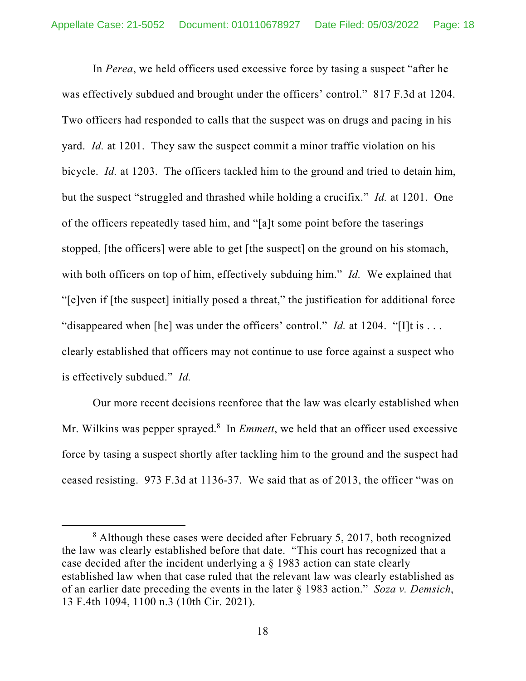In *Perea*, we held officers used excessive force by tasing a suspect "after he was effectively subdued and brought under the officers' control." 817 F.3d at 1204. Two officers had responded to calls that the suspect was on drugs and pacing in his yard. *Id.* at 1201. They saw the suspect commit a minor traffic violation on his bicycle. *Id.* at 1203. The officers tackled him to the ground and tried to detain him, but the suspect "struggled and thrashed while holding a crucifix." *Id.* at 1201. One of the officers repeatedly tased him, and "[a]t some point before the taserings stopped, [the officers] were able to get [the suspect] on the ground on his stomach, with both officers on top of him, effectively subduing him." *Id.* We explained that "[e]ven if [the suspect] initially posed a threat," the justification for additional force "disappeared when [he] was under the officers' control." *Id.* at 1204. "[I]t is ... clearly established that officers may not continue to use force against a suspect who is effectively subdued." *Id.*

Our more recent decisions reenforce that the law was clearly established when Mr. Wilkins was pepper sprayed.<sup>8</sup> In *Emmett*, we held that an officer used excessive force by tasing a suspect shortly after tackling him to the ground and the suspect had ceased resisting. 973 F.3d at 1136-37. We said that as of 2013, the officer "was on

<sup>&</sup>lt;sup>8</sup> Although these cases were decided after February 5, 2017, both recognized the law was clearly established before that date. "This court has recognized that a case decided after the incident underlying a § 1983 action can state clearly established law when that case ruled that the relevant law was clearly established as of an earlier date preceding the events in the later § 1983 action." *Soza v. Demsich*, 13 F.4th 1094, 1100 n.3 (10th Cir. 2021).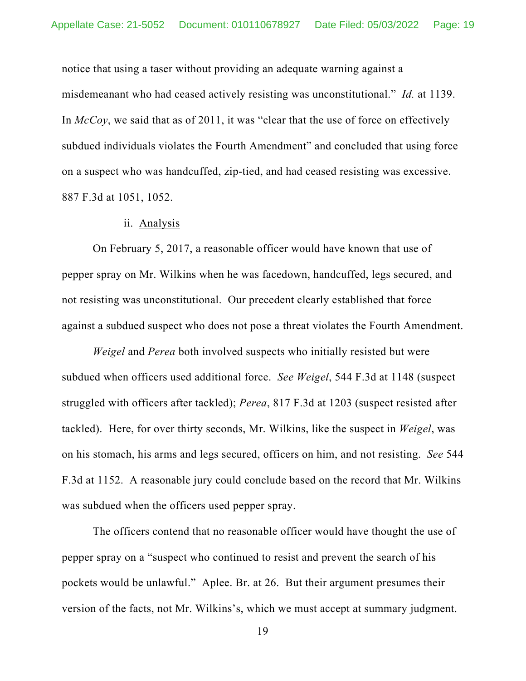notice that using a taser without providing an adequate warning against a misdemeanant who had ceased actively resisting was unconstitutional." *Id.* at 1139. In *McCoy*, we said that as of 2011, it was "clear that the use of force on effectively subdued individuals violates the Fourth Amendment" and concluded that using force on a suspect who was handcuffed, zip-tied, and had ceased resisting was excessive. 887 F.3d at 1051, 1052.

#### ii. Analysis

On February 5, 2017, a reasonable officer would have known that use of pepper spray on Mr. Wilkins when he was facedown, handcuffed, legs secured, and not resisting was unconstitutional. Our precedent clearly established that force against a subdued suspect who does not pose a threat violates the Fourth Amendment.

*Weigel* and *Perea* both involved suspects who initially resisted but were subdued when officers used additional force. *See Weigel*, 544 F.3d at 1148 (suspect struggled with officers after tackled); *Perea*, 817 F.3d at 1203 (suspect resisted after tackled). Here, for over thirty seconds, Mr. Wilkins, like the suspect in *Weigel*, was on his stomach, his arms and legs secured, officers on him, and not resisting. *See* 544 F.3d at 1152. A reasonable jury could conclude based on the record that Mr. Wilkins was subdued when the officers used pepper spray.

The officers contend that no reasonable officer would have thought the use of pepper spray on a "suspect who continued to resist and prevent the search of his pockets would be unlawful." Aplee. Br. at 26. But their argument presumes their version of the facts, not Mr. Wilkins's, which we must accept at summary judgment.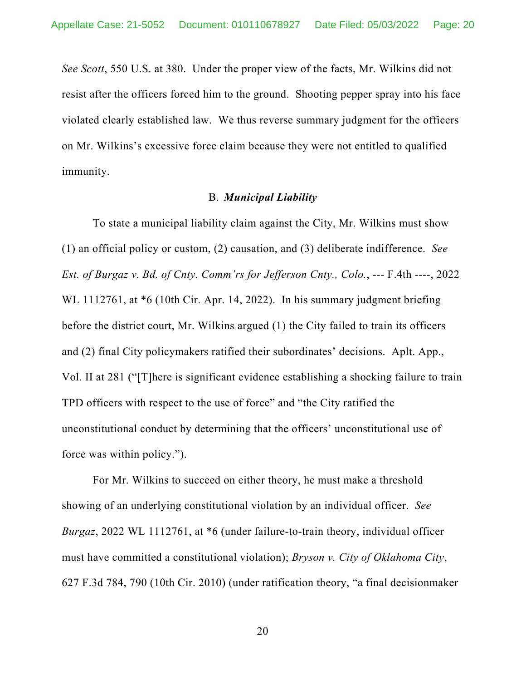*See Scott*, 550 U.S. at 380. Under the proper view of the facts, Mr. Wilkins did not resist after the officers forced him to the ground. Shooting pepper spray into his face violated clearly established law. We thus reverse summary judgment for the officers on Mr. Wilkins's excessive force claim because they were not entitled to qualified immunity.

### B. *Municipal Liability*

To state a municipal liability claim against the City, Mr. Wilkins must show (1) an official policy or custom, (2) causation, and (3) deliberate indifference. *See Est. of Burgaz v. Bd. of Cnty. Comm'rs for Jefferson Cnty., Colo.*, --- F.4th ----, 2022 WL 1112761, at  $*6$  (10th Cir. Apr. 14, 2022). In his summary judgment briefing before the district court, Mr. Wilkins argued (1) the City failed to train its officers and (2) final City policymakers ratified their subordinates' decisions. Aplt. App., Vol. II at 281 ("[T]here is significant evidence establishing a shocking failure to train TPD officers with respect to the use of force" and "the City ratified the unconstitutional conduct by determining that the officers' unconstitutional use of force was within policy.").

For Mr. Wilkins to succeed on either theory, he must make a threshold showing of an underlying constitutional violation by an individual officer. *See Burgaz*, 2022 WL 1112761, at \*6 (under failure-to-train theory, individual officer must have committed a constitutional violation); *Bryson v. City of Oklahoma City*, 627 F.3d 784, 790 (10th Cir. 2010) (under ratification theory, "a final decisionmaker